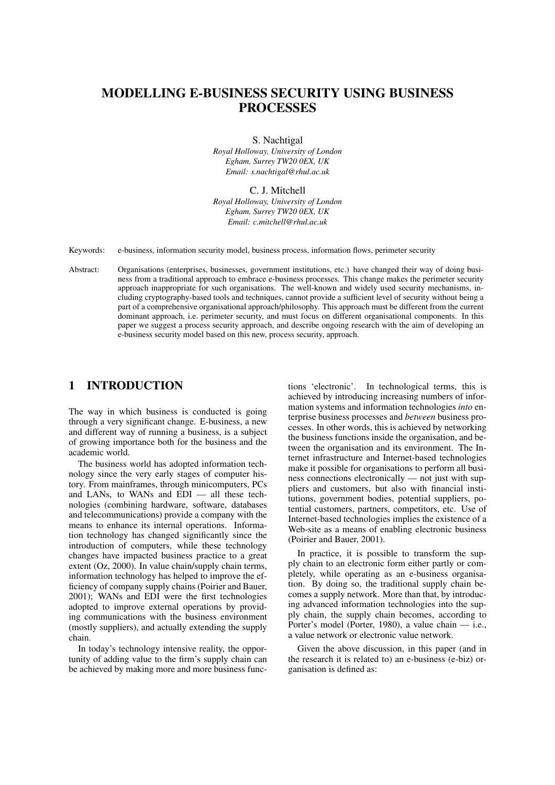# MODELLING E-BUSINESS SECURITY USING BUSINESS **PROCESSES**

S. Nachtigal

*Royal Holloway, University of London Egham, Surrey TW20 0EX, UK Email: s.nachtigal@rhul.ac.uk*

C. J. Mitchell *Royal Holloway, University of London Egham, Surrey TW20 0EX, UK Email: c.mitchell@rhul.ac.uk*

Keywords: e-business, information security model, business process, information flows, perimeter security

Abstract: Organisations (enterprises, businesses, government institutions, etc.) have changed their way of doing business from a traditional approach to embrace e-business processes. This change makes the perimeter security approach inappropriate for such organisations. The well-known and widely used security mechanisms, including cryptography-based tools and techniques, cannot provide a sufficient level of security without being a part of a comprehensive organisational approach/philosophy. This approach must be different from the current dominant approach, i.e. perimeter security, and must focus on different organisational components. In this paper we suggest a process security approach, and describe ongoing research with the aim of developing an e-business security model based on this new, process security, approach.

### 1 INTRODUCTION

The way in which business is conducted is going through a very significant change. E-business, a new and different way of running a business, is a subject of growing importance both for the business and the academic world.

The business world has adopted information technology since the very early stages of computer history. From mainframes, through minicomputers, PCs and LANs, to WANs and EDI — all these technologies (combining hardware, software, databases and telecommunications) provide a company with the means to enhance its internal operations. Information technology has changed significantly since the introduction of computers, while these technology changes have impacted business practice to a great extent (Oz, 2000). In value chain/supply chain terms, information technology has helped to improve the efficiency of company supply chains (Poirier and Bauer, 2001); WANs and EDI were the first technologies adopted to improve external operations by providing communications with the business environment (mostly suppliers), and actually extending the supply chain.

In today's technology intensive reality, the opportunity of adding value to the firm's supply chain can be achieved by making more and more business functions 'electronic'. In technological terms, this is achieved by introducing increasing numbers of information systems and information technologies *into* enterprise business processes and *between* business processes. In other words, this is achieved by networking the business functions inside the organisation, and between the organisation and its environment. The Internet infrastructure and Internet-based technologies make it possible for organisations to perform all business connections electronically — not just with suppliers and customers, but also with financial institutions, government bodies, potential suppliers, potential customers, partners, competitors, etc. Use of Internet-based technologies implies the existence of a Web-site as a means of enabling electronic business (Poirier and Bauer, 2001).

In practice, it is possible to transform the supply chain to an electronic form either partly or completely, while operating as an e-business organisation. By doing so, the traditional supply chain becomes a supply network. More than that, by introducing advanced information technologies into the supply chain, the supply chain becomes, according to Porter's model (Porter, 1980), a value chain — i.e., a value network or electronic value network.

Given the above discussion, in this paper (and in the research it is related to) an e-business (e-biz) organisation is defined as: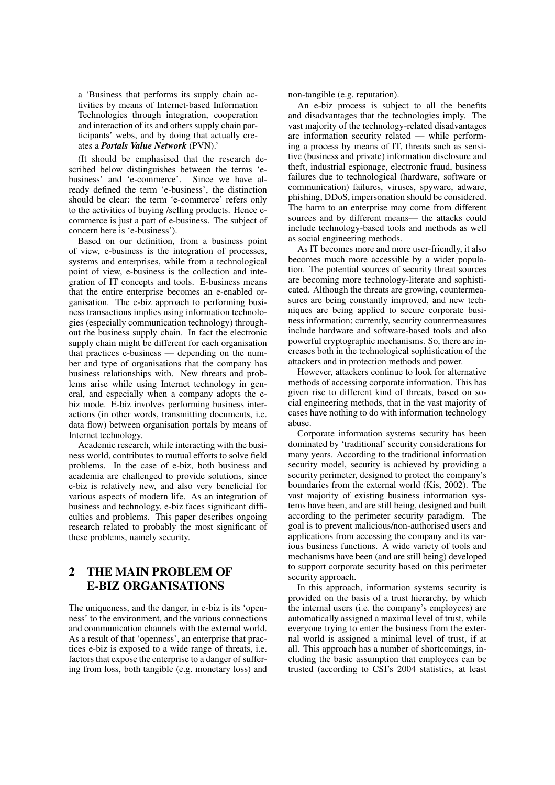a 'Business that performs its supply chain activities by means of Internet-based Information Technologies through integration, cooperation and interaction of its and others supply chain participants' webs, and by doing that actually creates a *Portals Value Network* (PVN).'

(It should be emphasised that the research described below distinguishes between the terms 'ebusiness' and 'e-commerce'. Since we have already defined the term 'e-business', the distinction should be clear: the term 'e-commerce' refers only to the activities of buying /selling products. Hence ecommerce is just a part of e-business. The subject of concern here is 'e-business').

Based on our definition, from a business point of view, e-business is the integration of processes, systems and enterprises, while from a technological point of view, e-business is the collection and integration of IT concepts and tools. E-business means that the entire enterprise becomes an e-enabled organisation. The e-biz approach to performing business transactions implies using information technologies (especially communication technology) throughout the business supply chain. In fact the electronic supply chain might be different for each organisation that practices e-business — depending on the number and type of organisations that the company has business relationships with. New threats and problems arise while using Internet technology in general, and especially when a company adopts the ebiz mode. E-biz involves performing business interactions (in other words, transmitting documents, i.e. data flow) between organisation portals by means of Internet technology.

Academic research, while interacting with the business world, contributes to mutual efforts to solve field problems. In the case of e-biz, both business and academia are challenged to provide solutions, since e-biz is relatively new, and also very beneficial for various aspects of modern life. As an integration of business and technology, e-biz faces significant difficulties and problems. This paper describes ongoing research related to probably the most significant of these problems, namely security.

## 2 THE MAIN PROBLEM OF E-BIZ ORGANISATIONS

The uniqueness, and the danger, in e-biz is its 'openness' to the environment, and the various connections and communication channels with the external world. As a result of that 'openness', an enterprise that practices e-biz is exposed to a wide range of threats, i.e. factors that expose the enterprise to a danger of suffering from loss, both tangible (e.g. monetary loss) and non-tangible (e.g. reputation).

An e-biz process is subject to all the benefits and disadvantages that the technologies imply. The vast majority of the technology-related disadvantages are information security related — while performing a process by means of IT, threats such as sensitive (business and private) information disclosure and theft, industrial espionage, electronic fraud, business failures due to technological (hardware, software or communication) failures, viruses, spyware, adware, phishing, DDoS, impersonation should be considered. The harm to an enterprise may come from different sources and by different means— the attacks could include technology-based tools and methods as well as social engineering methods.

As IT becomes more and more user-friendly, it also becomes much more accessible by a wider population. The potential sources of security threat sources are becoming more technology-literate and sophisticated. Although the threats are growing, countermeasures are being constantly improved, and new techniques are being applied to secure corporate business information; currently, security countermeasures include hardware and software-based tools and also powerful cryptographic mechanisms. So, there are increases both in the technological sophistication of the attackers and in protection methods and power.

However, attackers continue to look for alternative methods of accessing corporate information. This has given rise to different kind of threats, based on social engineering methods, that in the vast majority of cases have nothing to do with information technology abuse.

Corporate information systems security has been dominated by 'traditional' security considerations for many years. According to the traditional information security model, security is achieved by providing a security perimeter, designed to protect the company's boundaries from the external world (Kis, 2002). The vast majority of existing business information systems have been, and are still being, designed and built according to the perimeter security paradigm. The goal is to prevent malicious/non-authorised users and applications from accessing the company and its various business functions. A wide variety of tools and mechanisms have been (and are still being) developed to support corporate security based on this perimeter security approach.

In this approach, information systems security is provided on the basis of a trust hierarchy, by which the internal users (i.e. the company's employees) are automatically assigned a maximal level of trust, while everyone trying to enter the business from the external world is assigned a minimal level of trust, if at all. This approach has a number of shortcomings, including the basic assumption that employees can be trusted (according to CSI's 2004 statistics, at least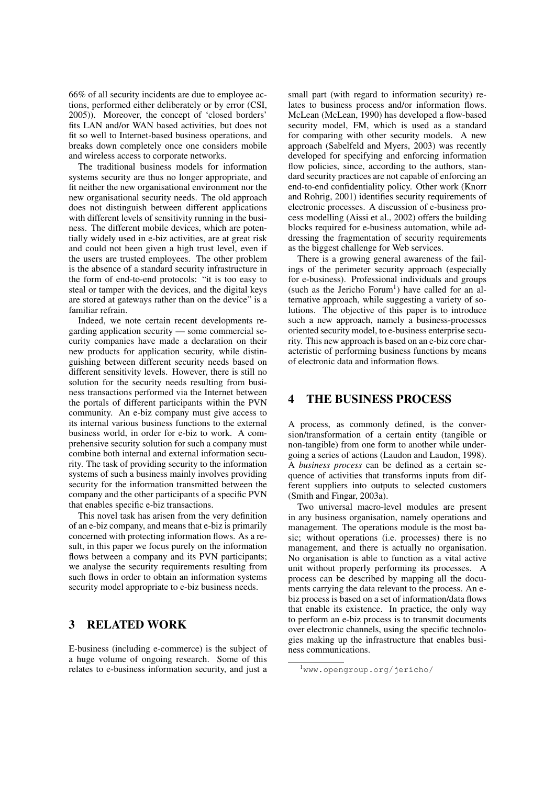66% of all security incidents are due to employee actions, performed either deliberately or by error (CSI, 2005)). Moreover, the concept of 'closed borders' fits LAN and/or WAN based activities, but does not fit so well to Internet-based business operations, and breaks down completely once one considers mobile and wireless access to corporate networks.

The traditional business models for information systems security are thus no longer appropriate, and fit neither the new organisational environment nor the new organisational security needs. The old approach does not distinguish between different applications with different levels of sensitivity running in the business. The different mobile devices, which are potentially widely used in e-biz activities, are at great risk and could not been given a high trust level, even if the users are trusted employees. The other problem is the absence of a standard security infrastructure in the form of end-to-end protocols: "it is too easy to steal or tamper with the devices, and the digital keys are stored at gateways rather than on the device" is a familiar refrain.

Indeed, we note certain recent developments regarding application security — some commercial security companies have made a declaration on their new products for application security, while distinguishing between different security needs based on different sensitivity levels. However, there is still no solution for the security needs resulting from business transactions performed via the Internet between the portals of different participants within the PVN community. An e-biz company must give access to its internal various business functions to the external business world, in order for e-biz to work. A comprehensive security solution for such a company must combine both internal and external information security. The task of providing security to the information systems of such a business mainly involves providing security for the information transmitted between the company and the other participants of a specific PVN that enables specific e-biz transactions.

This novel task has arisen from the very definition of an e-biz company, and means that e-biz is primarily concerned with protecting information flows. As a result, in this paper we focus purely on the information flows between a company and its PVN participants; we analyse the security requirements resulting from such flows in order to obtain an information systems security model appropriate to e-biz business needs.

### 3 RELATED WORK

E-business (including e-commerce) is the subject of a huge volume of ongoing research. Some of this relates to e-business information security, and just a

small part (with regard to information security) relates to business process and/or information flows. McLean (McLean, 1990) has developed a flow-based security model, FM, which is used as a standard for comparing with other security models. A new approach (Sabelfeld and Myers, 2003) was recently developed for specifying and enforcing information flow policies, since, according to the authors, standard security practices are not capable of enforcing an end-to-end confidentiality policy. Other work (Knorr and Rohrig, 2001) identifies security requirements of electronic processes. A discussion of e-business process modelling (Aissi et al., 2002) offers the building blocks required for e-business automation, while addressing the fragmentation of security requirements as the biggest challenge for Web services.

There is a growing general awareness of the failings of the perimeter security approach (especially for e-business). Professional individuals and groups (such as the Jericho Forum<sup>1</sup>) have called for an alternative approach, while suggesting a variety of solutions. The objective of this paper is to introduce such a new approach, namely a business-processes oriented security model, to e-business enterprise security. This new approach is based on an e-biz core characteristic of performing business functions by means of electronic data and information flows.

#### 4 THE BUSINESS PROCESS

A process, as commonly defined, is the conversion/transformation of a certain entity (tangible or non-tangible) from one form to another while undergoing a series of actions (Laudon and Laudon, 1998). A *business process* can be defined as a certain sequence of activities that transforms inputs from different suppliers into outputs to selected customers (Smith and Fingar, 2003a).

Two universal macro-level modules are present in any business organisation, namely operations and management. The operations module is the most basic; without operations (i.e. processes) there is no management, and there is actually no organisation. No organisation is able to function as a vital active unit without properly performing its processes. A process can be described by mapping all the documents carrying the data relevant to the process. An ebiz process is based on a set of information/data flows that enable its existence. In practice, the only way to perform an e-biz process is to transmit documents over electronic channels, using the specific technologies making up the infrastructure that enables business communications.

<sup>1</sup>www.opengroup.org/jericho/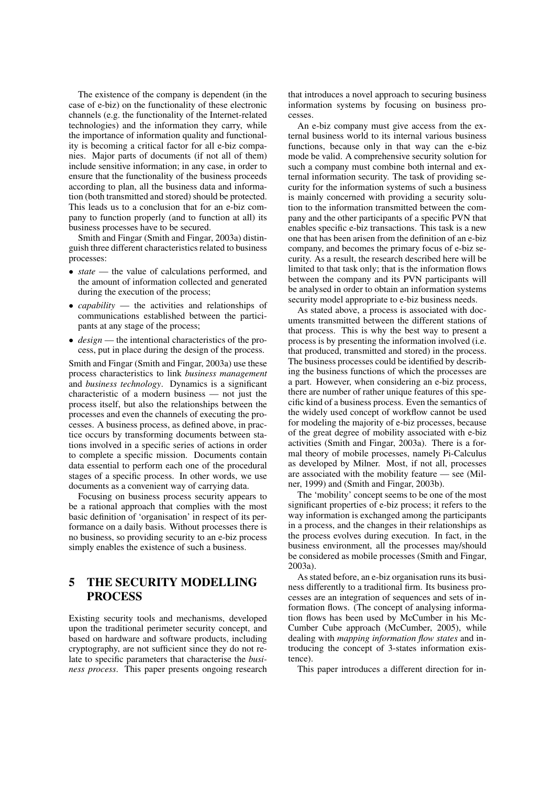The existence of the company is dependent (in the case of e-biz) on the functionality of these electronic channels (e.g. the functionality of the Internet-related technologies) and the information they carry, while the importance of information quality and functionality is becoming a critical factor for all e-biz companies. Major parts of documents (if not all of them) include sensitive information; in any case, in order to ensure that the functionality of the business proceeds according to plan, all the business data and information (both transmitted and stored) should be protected. This leads us to a conclusion that for an e-biz company to function properly (and to function at all) its business processes have to be secured.

Smith and Fingar (Smith and Fingar, 2003a) distinguish three different characteristics related to business processes:

- *state* the value of calculations performed, and the amount of information collected and generated during the execution of the process;
- *capability* the activities and relationships of communications established between the participants at any stage of the process;
- *design* the intentional characteristics of the process, put in place during the design of the process.

Smith and Fingar (Smith and Fingar, 2003a) use these process characteristics to link *business management* and *business technology*. Dynamics is a significant characteristic of a modern business — not just the process itself, but also the relationships between the processes and even the channels of executing the processes. A business process, as defined above, in practice occurs by transforming documents between stations involved in a specific series of actions in order to complete a specific mission. Documents contain data essential to perform each one of the procedural stages of a specific process. In other words, we use documents as a convenient way of carrying data.

Focusing on business process security appears to be a rational approach that complies with the most basic definition of 'organisation' in respect of its performance on a daily basis. Without processes there is no business, so providing security to an e-biz process simply enables the existence of such a business.

## 5 THE SECURITY MODELLING **PROCESS**

Existing security tools and mechanisms, developed upon the traditional perimeter security concept, and based on hardware and software products, including cryptography, are not sufficient since they do not relate to specific parameters that characterise the *business process*. This paper presents ongoing research

that introduces a novel approach to securing business information systems by focusing on business processes.

An e-biz company must give access from the external business world to its internal various business functions, because only in that way can the e-biz mode be valid. A comprehensive security solution for such a company must combine both internal and external information security. The task of providing security for the information systems of such a business is mainly concerned with providing a security solution to the information transmitted between the company and the other participants of a specific PVN that enables specific e-biz transactions. This task is a new one that has been arisen from the definition of an e-biz company, and becomes the primary focus of e-biz security. As a result, the research described here will be limited to that task only; that is the information flows between the company and its PVN participants will be analysed in order to obtain an information systems security model appropriate to e-biz business needs.

As stated above, a process is associated with documents transmitted between the different stations of that process. This is why the best way to present a process is by presenting the information involved (i.e. that produced, transmitted and stored) in the process. The business processes could be identified by describing the business functions of which the processes are a part. However, when considering an e-biz process, there are number of rather unique features of this specific kind of a business process. Even the semantics of the widely used concept of workflow cannot be used for modeling the majority of e-biz processes, because of the great degree of mobility associated with e-biz activities (Smith and Fingar, 2003a). There is a formal theory of mobile processes, namely Pi-Calculus as developed by Milner. Most, if not all, processes are associated with the mobility feature — see (Milner, 1999) and (Smith and Fingar, 2003b).

The 'mobility' concept seems to be one of the most significant properties of e-biz process; it refers to the way information is exchanged among the participants in a process, and the changes in their relationships as the process evolves during execution. In fact, in the business environment, all the processes may/should be considered as mobile processes (Smith and Fingar, 2003a).

As stated before, an e-biz organisation runs its business differently to a traditional firm. Its business processes are an integration of sequences and sets of information flows. (The concept of analysing information flows has been used by McCumber in his Mc-Cumber Cube approach (McCumber, 2005), while dealing with *mapping information flow states* and introducing the concept of 3-states information existence).

This paper introduces a different direction for in-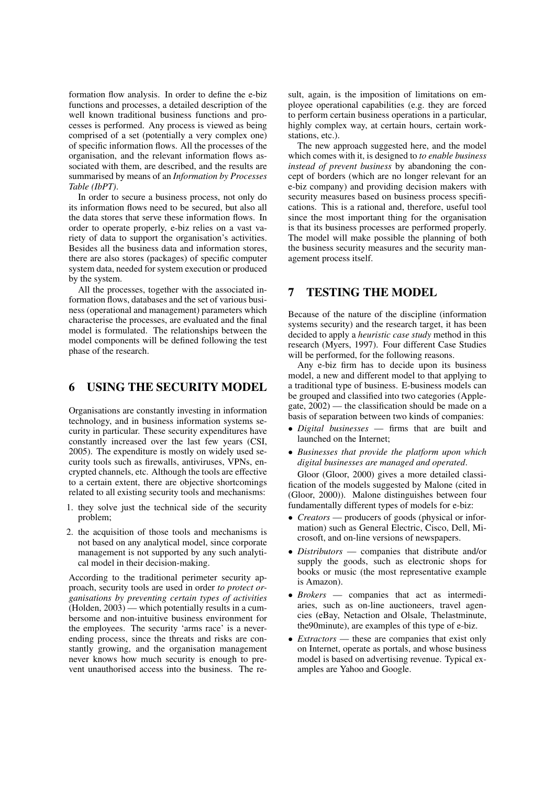formation flow analysis. In order to define the e-biz functions and processes, a detailed description of the well known traditional business functions and processes is performed. Any process is viewed as being comprised of a set (potentially a very complex one) of specific information flows. All the processes of the organisation, and the relevant information flows associated with them, are described, and the results are summarised by means of an *Information by Processes Table (IbPT)*.

In order to secure a business process, not only do its information flows need to be secured, but also all the data stores that serve these information flows. In order to operate properly, e-biz relies on a vast variety of data to support the organisation's activities. Besides all the business data and information stores, there are also stores (packages) of specific computer system data, needed for system execution or produced by the system.

All the processes, together with the associated information flows, databases and the set of various business (operational and management) parameters which characterise the processes, are evaluated and the final model is formulated. The relationships between the model components will be defined following the test phase of the research.

### 6 USING THE SECURITY MODEL

Organisations are constantly investing in information technology, and in business information systems security in particular. These security expenditures have constantly increased over the last few years (CSI, 2005). The expenditure is mostly on widely used security tools such as firewalls, antiviruses, VPNs, encrypted channels, etc. Although the tools are effective to a certain extent, there are objective shortcomings related to all existing security tools and mechanisms:

- 1. they solve just the technical side of the security problem;
- 2. the acquisition of those tools and mechanisms is not based on any analytical model, since corporate management is not supported by any such analytical model in their decision-making.

According to the traditional perimeter security approach, security tools are used in order *to protect organisations by preventing certain types of activities* (Holden, 2003) — which potentially results in a cumbersome and non-intuitive business environment for the employees. The security 'arms race' is a neverending process, since the threats and risks are constantly growing, and the organisation management never knows how much security is enough to prevent unauthorised access into the business. The result, again, is the imposition of limitations on employee operational capabilities (e.g. they are forced to perform certain business operations in a particular, highly complex way, at certain hours, certain workstations, etc.).

The new approach suggested here, and the model which comes with it, is designed to *to enable business instead of prevent business* by abandoning the concept of borders (which are no longer relevant for an e-biz company) and providing decision makers with security measures based on business process specifications. This is a rational and, therefore, useful tool since the most important thing for the organisation is that its business processes are performed properly. The model will make possible the planning of both the business security measures and the security management process itself.

## 7 TESTING THE MODEL

Because of the nature of the discipline (information systems security) and the research target, it has been decided to apply a *heuristic case study* method in this research (Myers, 1997). Four different Case Studies will be performed, for the following reasons.

Any e-biz firm has to decide upon its business model, a new and different model to that applying to a traditional type of business. E-business models can be grouped and classified into two categories (Applegate, 2002) — the classification should be made on a basis of separation between two kinds of companies:

- *Digital businesses* firms that are built and launched on the Internet;
- *Businesses that provide the platform upon which digital businesses are managed and operated*.

Gloor (Gloor, 2000) gives a more detailed classification of the models suggested by Malone (cited in (Gloor, 2000)). Malone distinguishes between four fundamentally different types of models for e-biz:

- *Creators* producers of goods (physical or information) such as General Electric, Cisco, Dell, Microsoft, and on-line versions of newspapers.
- *Distributors* companies that distribute and/or supply the goods, such as electronic shops for books or music (the most representative example is Amazon).
- *Brokers* companies that act as intermediaries, such as on-line auctioneers, travel agencies (eBay, Netaction and Olsale, Thelastminute, the90minute), are examples of this type of e-biz.
- *Extractors* these are companies that exist only on Internet, operate as portals, and whose business model is based on advertising revenue. Typical examples are Yahoo and Google.